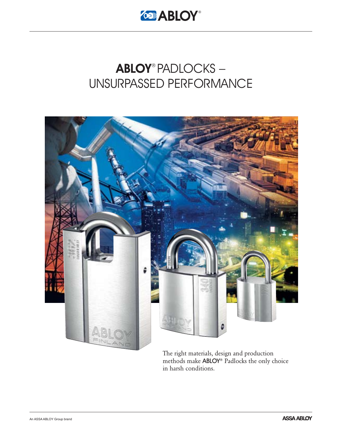

# ABLOY® PADLOCKS – UNSURPASSED PERFORMANCE



The right materials, design and production methods make ABLOY® Padlocks the only choice in harsh conditions.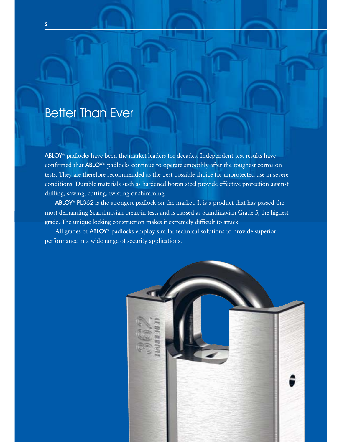# Better Than Ever

ABLOY<sup>®</sup> padlocks have been the market leaders for decades. Independent test results have confirmed that ABLOY® padlocks continue to operate smoothly after the toughest corrosion tests. They are therefore recommended as the best possible choice for unprotected use in severe conditions. Durable materials such as hardened boron steel provide effective protection against drilling, sawing, cutting, twisting or shimming.

ABLOY<sup>®</sup> PL362 is the strongest padlock on the market. It is a product that has passed the most demanding Scandinavian break-in tests and is classed as Scandinavian Grade 5, the highest grade. The unique locking construction makes it extremely difficult to attack.

All grades of ABLOY® padlocks employ similar technical solutions to provide superior performance in a wide range of security applications.

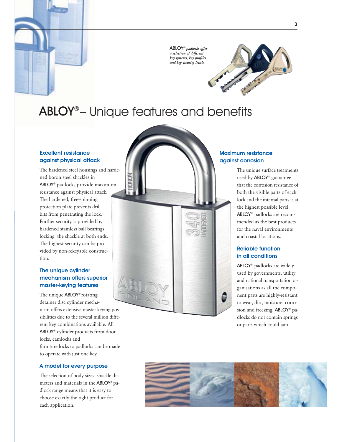

ABLOY® *padlocks offer a selection of different key systems, key profiles and key security levels.*



# ABLOY®– Unique features and benefits

### Excellent resistance against physical attack

The hardened steel housings and hardened boron steel shackles in ABLOY® padlocks provide maximum resistance against physical attack. The hardened, free-spinning protection plate prevents drill bits from penetrating the lock. Further security is provided by hardened stainless ball bearings locking the shackle at both ends. The highest security can be provided by non-rekeyable construction.

## The unique cylinder mechanism offers superior master-keying features

The unique ABLOY® rotating detainer disc cylinder mechanism offers extensive master-keying possibilities due to the several million different key combinations available. All ABLOY® cylinder products from door locks, camlocks and furniture locks to padlocks can be made to operate with just one key.

### A model for every purpose

The selection of body sizes, shackle diameters and materials in the ABLOY® padlock range means that it is easy to choose exactly the right product for each application.



### Maximum resistance against corrosion

The unique surface treatments used by ABLOY® guarantee that the corrosion resistance of both the visible parts of each lock and the internal parts is at the highest possible level. ABLOY® padlocks are recommended as the best products for the naval environments and coastal locations.

## Reliable function in all conditions

ABLOY® padlocks are widely used by governments, utility and national transportation organisations as all the component parts are highly-resistant to wear, dirt, moisture, corrosion and freezing. ABLOY® padlocks do not contain springs or parts which could jam.

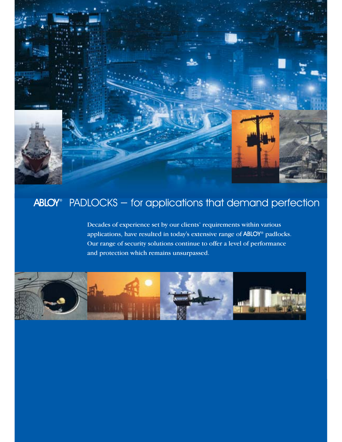

# ABLOY® PADLOCKS - for applications that demand perfection

Decades of experience set by our clients' requirements within various applications, have resulted in today's extensive range of ABLOY® padlocks. Our range of security solutions continue to offer a level of performance and protection which remains unsurpassed.

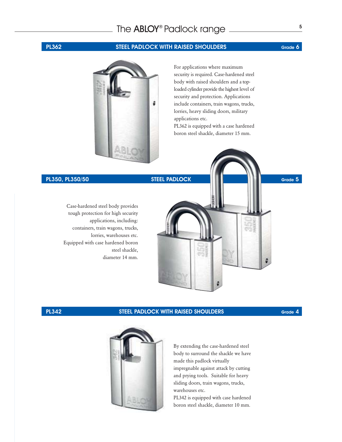# **<sup>5</sup>** The ABLOY® Padlock range

## **PL362** STEEL PADLOCK WITH RAISED SHOULDERS Grade 6



For applications where maximum security is required. Case-hardened steel body with raised shoulders and a toploaded cylinder provide the highest level of security and protection. Applications include containers, train wagons, trucks, lorries, heavy sliding doors, military applications etc. PL362 is equipped with a case hardened

boron steel shackle, diameter 15 mm.

# PL350, PL350/50 STEEL PADLOCK Grade 5

Case-hardened steel body provides tough protection for high security applications, including: containers, train wagons, trucks, lorries, warehouses etc. Equipped with case hardened boron steel shackle, diameter 14 mm.

### **PL342** STEEL PADLOCK WITH RAISED SHOULDERS Grade 4



By extending the case-hardened steel body to surround the shackle we have made this padlock virtually impregnable against attack by cutting and prying tools. Suitable for heavy sliding doors, train wagons, trucks, warehouses etc.

PL342 is equipped with case hardened boron steel shackle, diameter 10 mm.

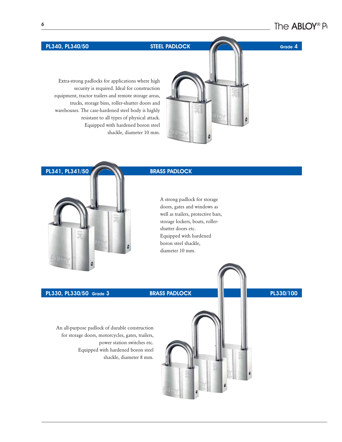Extra-strong padlocks for applications where high security is required. Ideal for construction equipment, tractor trailers and remote storage areas, trucks, storage bins, roller-shutter doors and warehouses. The case-hardened steel body is highly resistant to all types of physical attack. Equipped with hardened boron steel shackle, diameter 10 mm.

# PL341, PL341/50 **BRASS PADLOCK**

A strong padlock for storage doors, gates and windows as well as trailers, protective bars, storage lockers, boats, rollershutter doors etc. Equipped with hardened boron steel shackle, diameter 10 mm.

# PL330, PL330/50 Grade 3 BRASS PADLOCK PL330/100

An all-purpose padlock of durable construction for storage doors, motorcycles, gates, trailers, power station switches etc. Equipped with hardened boron steel shackle, diameter 8 mm.



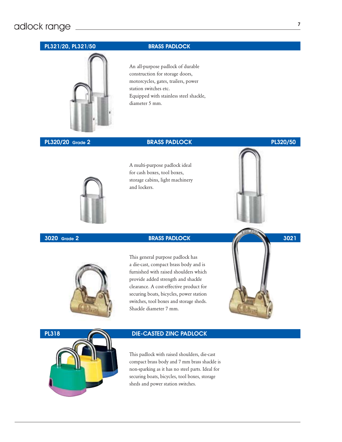# adlock range

# PL321/20, PL321/50 BRASS PADLOCK



An all-purpose padlock of durable construction for storage doors, motorcycles, gates, trailers, power station switches etc. Equipped with stainless steel shackle, diameter 5 mm.

## **PL320/20** Grade 2 **BRASS PADLOCK** PL320/50

A multi-purpose padlock ideal for cash boxes, tool boxes, storage cabins, light machinery and lockers.

This general purpose padlock has a die-cast, compact brass body and is furnished with raised shoulders which provide added strength and shackle clearance. A cost-effective product for securing boats, bicycles, power station switches, tool boxes and storage sheds. Shackle diameter 7 mm.





This padlock with raised shoulders, die-cast compact brass body and 7 mm brass shackle is non-sparking as it has no steel parts. Ideal for securing boats, bicycles, tool boxes, storage sheds and power station switches.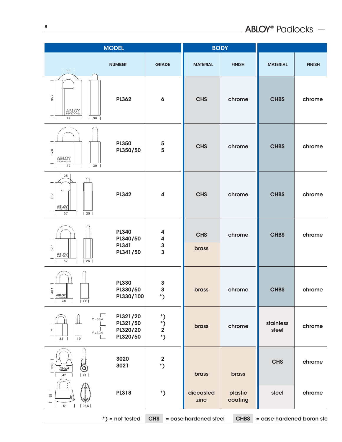| <b>MODEL</b>                                                                  |                                                      | <b>BODY</b>                                                             |                     |                    |                    |               |
|-------------------------------------------------------------------------------|------------------------------------------------------|-------------------------------------------------------------------------|---------------------|--------------------|--------------------|---------------|
| 30                                                                            | <b>NUMBER</b>                                        | <b>GRADE</b>                                                            | <b>MATERIAL</b>     | <b>FINISH</b>      | <b>MATERIAL</b>    | <b>FINISH</b> |
| 95.7<br>ABLOY<br>72<br>$\vert$ 30                                             | <b>PL362</b>                                         | $\boldsymbol{6}$                                                        | <b>CHS</b>          | chrome             | <b>CHBS</b>        | chrome        |
| 57.6<br>ABLOY<br>72<br>30<br>$\mathbf{L}$                                     | <b>PL350</b><br>PL350/50                             | ${\bf 5}$<br>5                                                          | <b>CHS</b>          | chrome             | <b>CHBS</b>        | chrome        |
| 25<br>75.7<br>ABLOY<br>$\vert$ 25 $\vert$<br>57<br>$\overline{1}$             | <b>PL342</b>                                         | $\overline{\mathbf{4}}$                                                 | <b>CHS</b>          | chrome             | <b>CHBS</b>        | chrome        |
| 527<br>ABLOY<br>57<br>$\vert$ 25 $\vert$                                      | <b>PL340</b><br>PL340/50<br><b>PL341</b><br>PL341/50 | 4<br>4<br>$\mathbf{3}$<br>$\overline{\mathbf{3}}$                       | <b>CHS</b><br>brass | chrome             | <b>CHBS</b>        | chrome        |
| 40.1<br>ABLOY<br> 22 <br>48                                                   | <b>PL330</b><br>PL330/50<br>PL330/100                | $\mathbf 3$<br>$\overline{\mathbf{3}}$<br>$\boldsymbol{\mathsf{^{*}}})$ | brass               | chrome             | <b>CHBS</b>        | chrome        |
| $Y = 38.4$<br>$\succ$<br>$Y = 32.4$<br>19<br>33                               | PL321/20<br>PL321/50<br>PL320/20<br>PL320/50         | $^\ast$ )<br>$^\ast)$<br>$\mathbf 2$<br>$^\ast)$                        | brass               | chrome             | stainless<br>steel | chrome        |
| 33.8<br>6<br>$\overline{\text{C}}$<br>$\begin{array}{c} 21 \end{array}$<br>47 | 3020<br>3021                                         | $\mathbf 2$<br>$\boldsymbol{K}$                                         | brass               | brass              | <b>CHS</b>         | chrome        |
| 35<br> 26,5 <br>51                                                            | <b>PL318</b>                                         | $\boldsymbol{\mathsf{'}}$                                               | diecasted<br>zinc   | plastic<br>coating | steel              | chrome        |

\*) = not tested CHS = case-hardened steel CHBS = case-hardened boron ste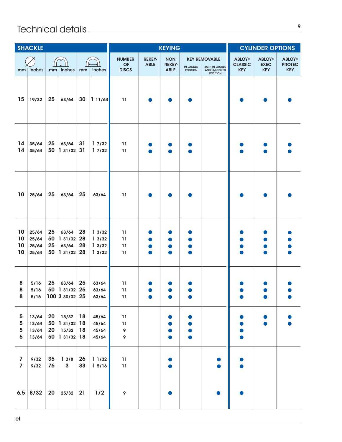# 

| <b>SHACKLE</b>                            |                                  |                      |                                            | <b>KEYING</b>        |                                  |                                                                  |                              |                                            | <b>CYLINDER OPTIONS</b>             |                                                                                         |                                               |                                            |                                              |
|-------------------------------------------|----------------------------------|----------------------|--------------------------------------------|----------------------|----------------------------------|------------------------------------------------------------------|------------------------------|--------------------------------------------|-------------------------------------|-----------------------------------------------------------------------------------------|-----------------------------------------------|--------------------------------------------|----------------------------------------------|
|                                           | $mm$ inches                      | mm                   | inches                                     | mm                   | inches                           | <b>NUMBER</b><br><b>OF</b><br><b>DISCS</b>                       | <b>REKEY-</b><br><b>ABLE</b> | <b>NON</b><br><b>REKEY-</b><br><b>ABLE</b> | <b>IN LOCKED</b><br><b>POSITION</b> | <b>KEY REMOVABLE</b><br><b>BOTH IN LOCKED</b><br><b>AND UNLOCKED</b><br><b>POSITION</b> | <b>ABLOY®</b><br><b>CLASSIC</b><br><b>KEY</b> | <b>ABLOY®</b><br><b>EXEC</b><br><b>KEY</b> | <b>ABLOY®</b><br><b>PROTEC</b><br><b>KEY</b> |
| 15                                        | 19/32                            | 25                   | 63/64                                      | 30                   | 111/64                           | 11                                                               |                              |                                            |                                     |                                                                                         |                                               |                                            |                                              |
| 14<br>14                                  | 35/64<br>35/64                   | 25<br>50             | 63/64<br>131/32                            | 31<br>31             | 17/32<br>17/32                   | 11<br>11                                                         |                              |                                            |                                     |                                                                                         |                                               |                                            |                                              |
| 10                                        | 25/64                            | 25                   | 63/64                                      | 25                   | 63/64                            | 11                                                               |                              |                                            |                                     |                                                                                         |                                               |                                            |                                              |
| 10<br>10<br>10<br>10                      | 25/64<br>25/64<br>25/64<br>25/64 | 25<br>50<br>25<br>50 | 63/64<br>1 31/32<br>63/64<br> 131/32       | 28<br>28<br>28<br>28 | 13/32<br>13/32<br>13/32<br>13/32 | 11<br>11<br>11<br>11                                             | D                            |                                            |                                     |                                                                                         |                                               |                                            |                                              |
| 8<br>8<br>${\bf 8}$                       | 5/16<br>5/16<br>5/16             | 25<br>50             | 63/64<br> 131/32 25<br>$100$ 3 30/32 25    | 25                   | 63/64<br>63/64<br>63/64          | 11<br>11<br>$11$                                                 |                              |                                            |                                     |                                                                                         |                                               |                                            |                                              |
| 5<br>5<br>5<br>5                          | 13/64<br>13/64<br>13/64<br>13/64 | 20<br>50<br>20<br>50 | 15/32<br> 131/32 18<br>15/32<br> 131/32 18 | 18<br>18             | 45/64<br>45/64<br>45/64<br>45/64 | $\begin{array}{c} \n \textbf{11} \n \end{array}$<br>11<br>9<br>9 |                              |                                            |                                     |                                                                                         |                                               |                                            |                                              |
| $\overline{\mathbf{z}}$<br>$\overline{7}$ | 9/32<br>9/32                     | 35<br>76             | 13/8<br>$\mathbf{3}$                       | 26<br>33             | 11/32<br>15/16                   | $11\,$<br>$11$                                                   |                              |                                            |                                     |                                                                                         |                                               |                                            |                                              |
|                                           | $6,5$ 8/32                       | 20                   | 25/32                                      | 21                   | 1/2                              | $\pmb{\circ}$                                                    |                              |                                            |                                     |                                                                                         |                                               |                                            |                                              |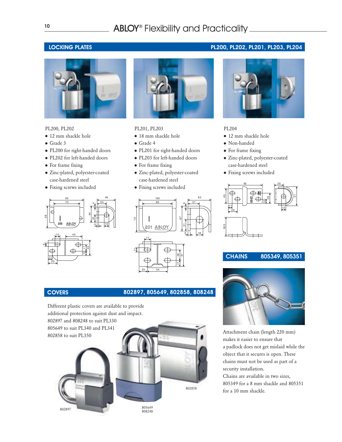# ABLOY® Flexibility and Practicality\_



### PL200, PL202

- 12 mm shackle hole
- Grade 3
- PL200 for right-handed doors
- PL202 for left-handed doors
- For frame fixing
- Zinc-plated, polyester-coated case-hardened steel
- Fixing screws included





### PL201, PL203

- $\bullet$  18 mm shackle hole
- Grade 4
- PL201 for right-handed doors
- PL203 for left-handed doors
- For frame fixing
- Zinc-plated, polyester-coated case-hardened steel
- Fixing screws included



## COVERS 802897, 805649, 802858, 808248

Different plastic covers are available to provide additional protection against dust and impact. 802897 and 808248 to suit PL330 805649 to suit PL340 and PL341 802858 to suit PL350







### PL204

- 12 mm shackle hole
- Non-handed
- For frame fixing
- Zinc-plated, polyester-coated case-hardened steel
- Fixing screws included



# **CHAINS 805349, 805351**



Attachment chain (length 220 mm) makes it easier to ensure that a padlock does not get mislaid while the object that it secures is open. These chains must not be used as part of a security installation. Chains are available in two sizes,

805349 for a 8 mm shackle and 805351 for a 10 mm shackle.

## LOCKING PLATES PL200, PL202, PL201, PL203, PL204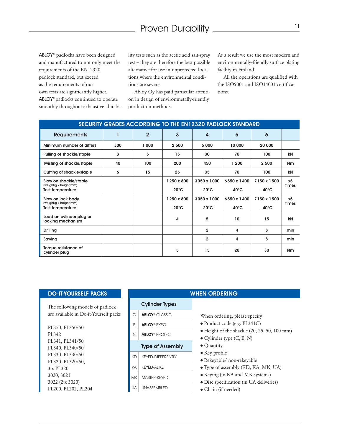ABLOY® padlocks have been designed and manufactured to not only meet the requirements of the EN12320 padlock standard, but exceed as the requirements of our own tests are significantly higher. ABLOY® padlocks continued to operate smoothly throughout exhaustive durability tests such as the acetic acid salt-spray test – they are therefore the best possible alternative for use in unprotected locations where the environmental conditions are severe.

Abloy Oy has paid particular attention in design of environmetally-friendly production methods.

As a result we use the most modern and environmentally-friendly surface plating facility in Finland.

All the operations are qualified with the ISO9001 and ISO14001 certifications.

| SECURITY GRADES ACCORDING TO THE EN12320 PADLOCK STANDARD                          |     |              |                               |                                |                                 |                                 |                         |  |  |  |
|------------------------------------------------------------------------------------|-----|--------------|-------------------------------|--------------------------------|---------------------------------|---------------------------------|-------------------------|--|--|--|
| <b>Requirements</b>                                                                | 1   | $\mathbf{2}$ | 3                             | 4                              | 5                               | 6                               |                         |  |  |  |
| Minimum number of differs                                                          | 300 | 1 000        | 2 500                         | 5 000                          | 10 000                          | 20 000                          |                         |  |  |  |
| Pulling of shackle/staple                                                          | 3   | 5            | 15                            | 30                             | 70                              | 100                             | kN                      |  |  |  |
| <b>Twisting of shackle/staple</b>                                                  | 40  | 100          | 200                           | 450                            | 1 200                           | 2 500                           | <b>Nm</b>               |  |  |  |
| Cutting of shackle/staple                                                          | 6   | 15           | 25                            | 35                             | 70                              | 100                             | kN                      |  |  |  |
| <b>Blow on shackle/staple</b><br>(weight/g x height/mm)<br><b>Test temperature</b> |     |              | 1250 x 800<br>$-20^{\circ}$ C | 3050 x 1000<br>$-20^{\circ}$ C | 6550 x 1400<br>-40 $^{\circ}$ C | 7150 x 1500<br>-40 $^{\circ}$ C | x5<br>times             |  |  |  |
| Blow on lock body<br>(weight/g x height/mm)<br><b>Test temperature</b>             |     |              | 1250 x 800<br>$-20^{\circ}$ C | 3050 x 1000<br>$-20^{\circ}$ C | 6550 x 1400<br>$-40^{\circ}$ C  | 7150 x 1500<br>$-40^{\circ}$ C  | x <sub>5</sub><br>times |  |  |  |
| Load on cylinder plug or<br>locking mechanism                                      |     |              | 4                             | 5                              | 10                              | 15                              | kN                      |  |  |  |
| <b>Drilling</b>                                                                    |     |              |                               | $\overline{2}$                 | 4                               | 8                               | min                     |  |  |  |
| Sawing                                                                             |     |              |                               | $\overline{2}$                 | 4                               | 8                               | min                     |  |  |  |
| Torque resistance of<br>cylinder plug                                              |     |              | 5                             | 15                             | 20                              | 30                              | <b>Nm</b>               |  |  |  |

### DO-IT-YOURSELF PACKS

The following models of padlock are available in Do-it-Yourself packs

PL350, PL350/50 PL342 PL341, PL341/50 PL340, PL340/50 PL330, PL330/50 PL320, PL320/50, 3 x PL320 3020, 3021 3022 (2 x 3020) PL200, PL202, PL204

### **WHEN ORDERING**

### Cylinder Types

- C ABLOY<sup>®</sup> CLASSIC
- E ABLOY® EXEC
- N | **ABLOY®** PROTEC

- Type of Assembly
- KD | KEYED-DIFFERENTLY
- KA KEYED-ALIKE
- MK MASTER-KEYED
- 

# UA UNASSEMBLED

When ordering, please specify:

- Product code (e.g. PL341C)
- Height of the shackle (20, 25, 50, 100 mm)
- Cylinder type (C, E, N)
- Quantity
- Key profile
- Rekeyable/ non-rekeyable
- Type of assembly (KD, KA, MK, UA)
- Keying (in KA and MK systems)
- Disc specification (in UA deliveries)
- Chain (if needed)